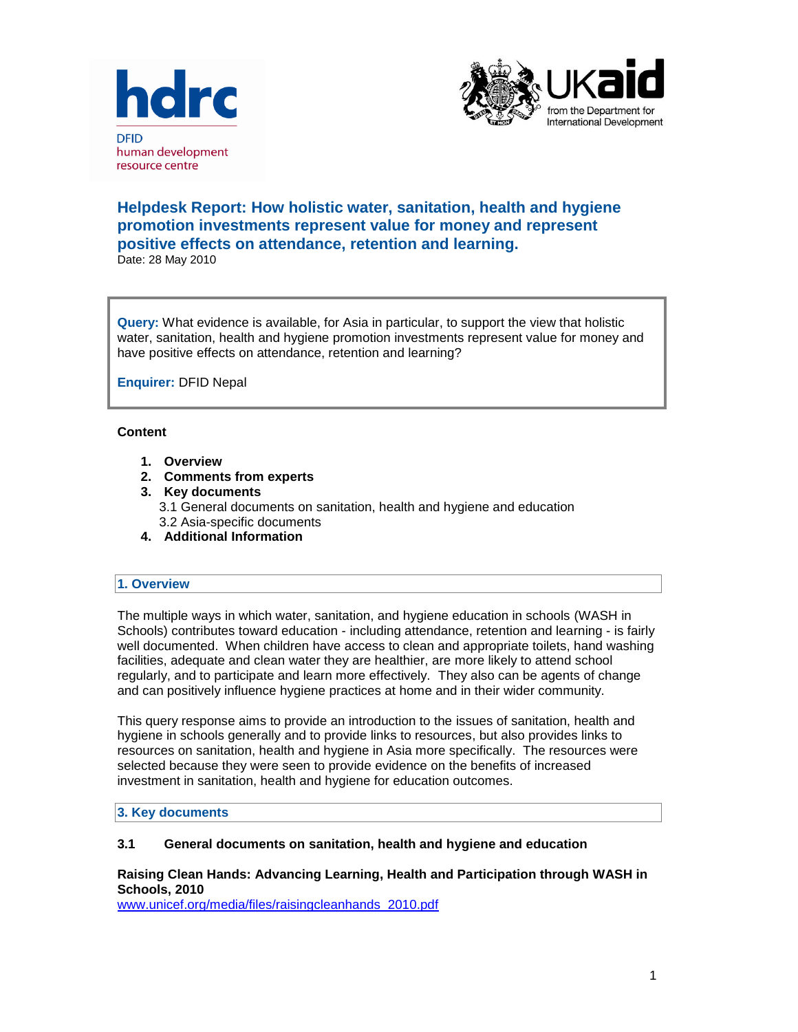



# **Helpdesk Report: How holistic water, sanitation, health and hygiene promotion investments represent value for money and represent positive effects on attendance, retention and learning.** Date: 28 May 2010

**Query:** What evidence is available, for Asia in particular, to support the view that holistic water, sanitation, health and hygiene promotion investments represent value for money and have positive effects on attendance, retention and learning?

**Enquirer:** DFID Nepal

# **Content**

- **1. Overview**
- **2. Comments from experts**
- **3. Key documents** 3.1 General documents on sanitation, health and hygiene and education 3.2 Asia-specific documents
- **4. Additional Information**

# **1. Overview**

The multiple ways in which water, sanitation, and hygiene education in schools (WASH in Schools) contributes toward education - including attendance, retention and learning - is fairly well documented. When children have access to clean and appropriate toilets, hand washing facilities, adequate and clean water they are healthier, are more likely to attend school regularly, and to participate and learn more effectively. They also can be agents of change and can positively influence hygiene practices at home and in their wider community.

This query response aims to provide an introduction to the issues of sanitation, health and hygiene in schools generally and to provide links to resources, but also provides links to resources on sanitation, health and hygiene in Asia more specifically. The resources were selected because they were seen to provide evidence on the benefits of increased investment in sanitation, health and hygiene for education outcomes.

#### **3. Key documents**

#### **3.1 General documents on sanitation, health and hygiene and education**

# **Raising Clean Hands: Advancing Learning, Health and Participation through WASH in Schools, 2010**

[www.unicef.org/media/files/raisingcleanhands\\_2010.pdf](http://www.unicef.org/media/files/raisingcleanhands_2010.pdf)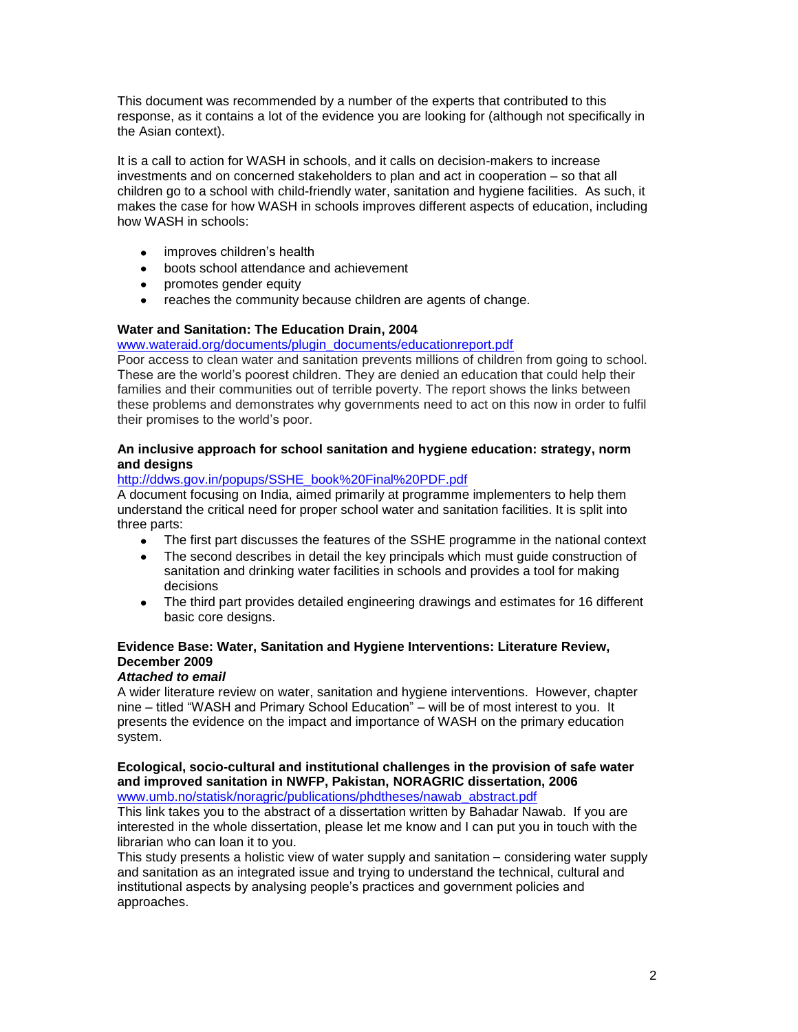This document was recommended by a number of the experts that contributed to this response, as it contains a lot of the evidence you are looking for (although not specifically in the Asian context).

It is a call to action for WASH in schools, and it calls on decision-makers to increase investments and on concerned stakeholders to plan and act in cooperation – so that all children go to a school with child-friendly water, sanitation and hygiene facilities. As such, it makes the case for how WASH in schools improves different aspects of education, including how WASH in schools:

- improves children's health  $\bullet$
- $\bullet$ boots school attendance and achievement
- promotes gender equity
- reaches the community because children are agents of change.

# **Water and Sanitation: The Education Drain, 2004**

[www.wateraid.org/documents/plugin\\_documents/educationreport.pdf](http://www.wateraid.org/documents/plugin_documents/educationreport.pdf)

Poor access to clean water and sanitation prevents millions of children from going to school. These are the world"s poorest children. They are denied an education that could help their families and their communities out of terrible poverty. The report shows the links between these problems and demonstrates why governments need to act on this now in order to fulfil their promises to the world"s poor.

# **An inclusive approach for school sanitation and hygiene education: strategy, norm and designs**

# [http://ddws.gov.in/popups/SSHE\\_book%20Final%20PDF.pdf](http://ddws.gov.in/popups/SSHE_book%20Final%20PDF.pdf)

A document focusing on India, aimed primarily at programme implementers to help them understand the critical need for proper school water and sanitation facilities. It is split into three parts:

- $\bullet$ The first part discusses the features of the SSHE programme in the national context
- $\bullet$ The second describes in detail the key principals which must guide construction of sanitation and drinking water facilities in schools and provides a tool for making decisions
- The third part provides detailed engineering drawings and estimates for 16 different basic core designs.

# **Evidence Base: Water, Sanitation and Hygiene Interventions: Literature Review, December 2009**

# *Attached to email*

A wider literature review on water, sanitation and hygiene interventions. However, chapter nine – titled "WASH and Primary School Education" – will be of most interest to you. It presents the evidence on the impact and importance of WASH on the primary education system.

# **Ecological, socio-cultural and institutional challenges in the provision of safe water and improved sanitation in NWFP, Pakistan, NORAGRIC dissertation, 2006**

[www.umb.no/statisk/noragric/publications/phdtheses/nawab\\_abstract.pdf](http://www.umb.no/statisk/noragric/publications/phdtheses/nawab_abstract.pdf)

This link takes you to the abstract of a dissertation written by Bahadar Nawab. If you are interested in the whole dissertation, please let me know and I can put you in touch with the librarian who can loan it to you.

This study presents a holistic view of water supply and sanitation  $-$  considering water supply and sanitation as an integrated issue and trying to understand the technical, cultural and institutional aspects by analysing people"s practices and government policies and approaches.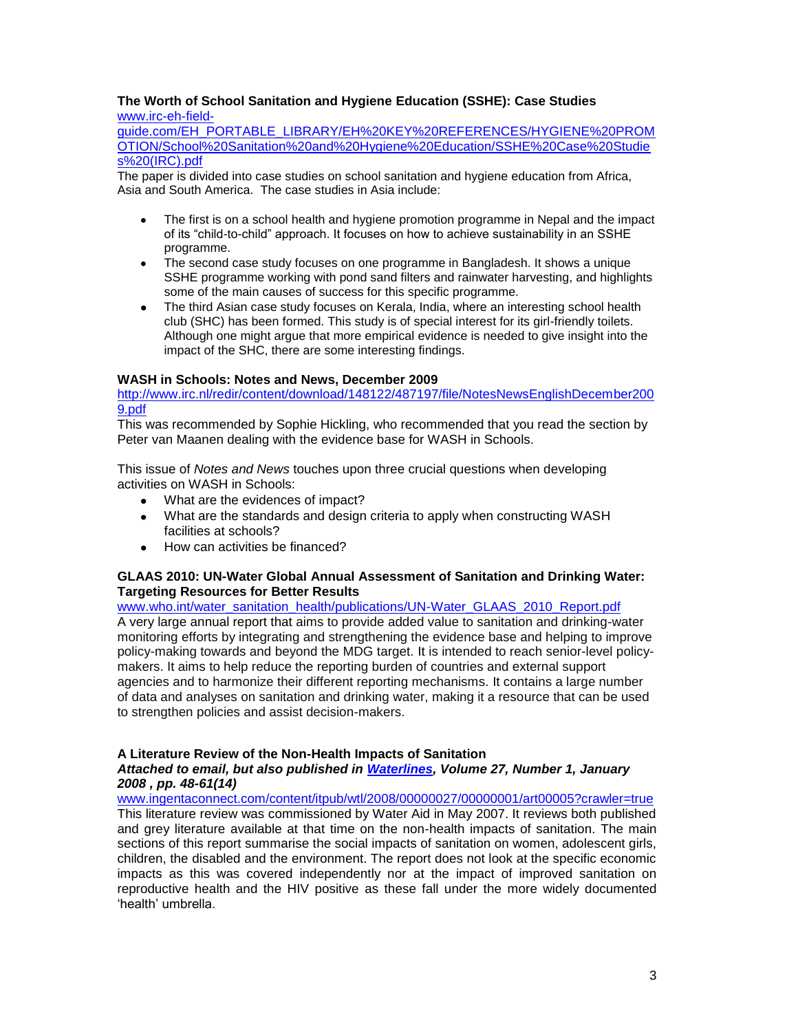#### **The Worth of School Sanitation and Hygiene Education (SSHE): Case Studies** [www.irc-eh-field-](http://www.irc-eh-field-guide.com/EH_PORTABLE_LIBRARY/EH%20KEY%20REFERENCES/HYGIENE%20PROMOTION/School%20Sanitation%20and%20Hygiene%20Education/SSHE%20Case%20Studies%20(IRC).pdf)

[guide.com/EH\\_PORTABLE\\_LIBRARY/EH%20KEY%20REFERENCES/HYGIENE%20PROM](http://www.irc-eh-field-guide.com/EH_PORTABLE_LIBRARY/EH%20KEY%20REFERENCES/HYGIENE%20PROMOTION/School%20Sanitation%20and%20Hygiene%20Education/SSHE%20Case%20Studies%20(IRC).pdf) [OTION/School%20Sanitation%20and%20Hygiene%20Education/SSHE%20Case%20Studie](http://www.irc-eh-field-guide.com/EH_PORTABLE_LIBRARY/EH%20KEY%20REFERENCES/HYGIENE%20PROMOTION/School%20Sanitation%20and%20Hygiene%20Education/SSHE%20Case%20Studies%20(IRC).pdf) [s%20\(IRC\).pdf](http://www.irc-eh-field-guide.com/EH_PORTABLE_LIBRARY/EH%20KEY%20REFERENCES/HYGIENE%20PROMOTION/School%20Sanitation%20and%20Hygiene%20Education/SSHE%20Case%20Studies%20(IRC).pdf)

The paper is divided into case studies on school sanitation and hygiene education from Africa, Asia and South America. The case studies in Asia include:

- The first is on a school health and hygiene promotion programme in Nepal and the impact of its "child-to-child" approach. It focuses on how to achieve sustainability in an SSHE programme.
- The second case study focuses on one programme in Bangladesh. It shows a unique SSHE programme working with pond sand filters and rainwater harvesting, and highlights some of the main causes of success for this specific programme.
- The third Asian case study focuses on Kerala, India, where an interesting school health club (SHC) has been formed. This study is of special interest for its girl-friendly toilets. Although one might argue that more empirical evidence is needed to give insight into the impact of the SHC, there are some interesting findings.

# **WASH in Schools: Notes and News, December 2009**

[http://www.irc.nl/redir/content/download/148122/487197/file/NotesNewsEnglishDecember200](http://www.irc.nl/redir/content/download/148122/487197/file/NotesNewsEnglishDecember2009.pdf) [9.pdf](http://www.irc.nl/redir/content/download/148122/487197/file/NotesNewsEnglishDecember2009.pdf)

This was recommended by Sophie Hickling, who recommended that you read the section by Peter van Maanen dealing with the evidence base for WASH in Schools.

This issue of *Notes and News* touches upon three crucial questions when developing activities on WASH in Schools:

- What are the evidences of impact?
- What are the standards and design criteria to apply when constructing WASH facilities at schools?
- How can activities be financed?

# **GLAAS 2010: UN-Water Global Annual Assessment of Sanitation and Drinking Water: Targeting Resources for Better Results**

[www.who.int/water\\_sanitation\\_health/publications/UN-Water\\_GLAAS\\_2010\\_Report.pdf](http://www.who.int/water_sanitation_health/publications/UN-Water_GLAAS_2010_Report.pdf) A very large annual report that aims to provide added value to sanitation and drinking-water monitoring efforts by integrating and strengthening the evidence base and helping to improve policy-making towards and beyond the MDG target. It is intended to reach senior-level policymakers. It aims to help reduce the reporting burden of countries and external support agencies and to harmonize their different reporting mechanisms. It contains a large number of data and analyses on sanitation and drinking water, making it a resource that can be used to strengthen policies and assist decision-makers.

# **A Literature Review of the Non-Health Impacts of Sanitation**

# *Attached to email, but also published in [Waterlines,](http://www.ingentaconnect.com/content/itpub/wtl;jsessionid=3jpdsx4gt4vro.victoria) Volume 27, Number 1, January 2008 , pp. 48-61(14)*

[www.ingentaconnect.com/content/itpub/wtl/2008/00000027/00000001/art00005?crawler=true](http://www.ingentaconnect.com/content/itpub/wtl/2008/00000027/00000001/art00005?crawler=true) This literature review was commissioned by Water Aid in May 2007. It reviews both published and grey literature available at that time on the non-health impacts of sanitation. The main sections of this report summarise the social impacts of sanitation on women, adolescent girls, children, the disabled and the environment. The report does not look at the specific economic impacts as this was covered independently nor at the impact of improved sanitation on reproductive health and the HIV positive as these fall under the more widely documented "health" umbrella.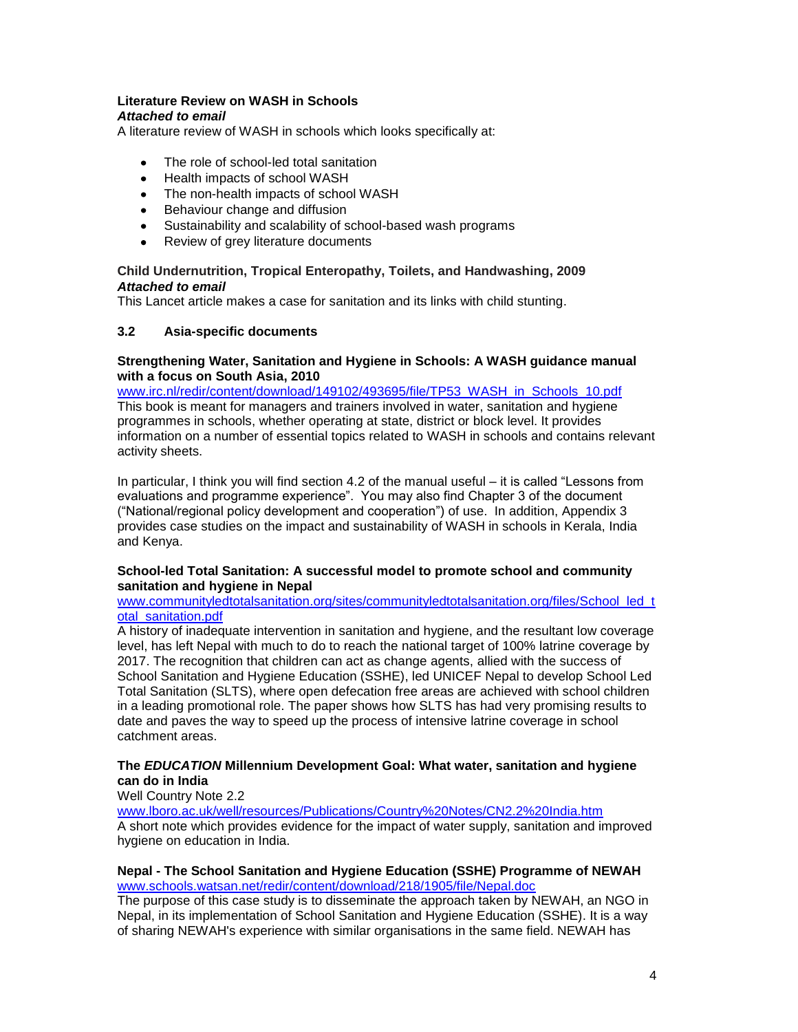# **Literature Review on WASH in Schools**

#### *Attached to email*

A literature review of WASH in schools which looks specifically at:

- The role of school-led total sanitation  $\bullet$
- Health impacts of school WASH
- The non-health impacts of school WASH
- Behaviour change and diffusion
- $\bullet$ Sustainability and scalability of school-based wash programs
- Review of grey literature documents

# **Child Undernutrition, Tropical Enteropathy, Toilets, and Handwashing, 2009** *Attached to email*

This Lancet article makes a case for sanitation and its links with child stunting.

# **3.2 Asia-specific documents**

# **Strengthening Water, Sanitation and Hygiene in Schools: A WASH guidance manual with a focus on South Asia, 2010**

[www.irc.nl/redir/content/download/149102/493695/file/TP53\\_WASH\\_in\\_Schools\\_10.pdf](http://www.irc.nl/redir/content/download/149102/493695/file/TP53_WASH_in_Schools_10.pdf) This book is meant for managers and trainers involved in water, sanitation and hygiene programmes in schools, whether operating at state, district or block level. It provides information on a number of essential topics related to WASH in schools and contains relevant activity sheets.

In particular, I think you will find section 4.2 of the manual useful – it is called "Lessons from evaluations and programme experience". You may also find Chapter 3 of the document ("National/regional policy development and cooperation") of use. In addition, Appendix 3 provides case studies on the impact and sustainability of WASH in schools in Kerala, India and Kenya.

# **School-led Total Sanitation: A successful model to promote school and community sanitation and hygiene in Nepal**

# [www.communityledtotalsanitation.org/sites/communityledtotalsanitation.org/files/School\\_led\\_t](http://www.communityledtotalsanitation.org/sites/communityledtotalsanitation.org/files/School_led_total_sanitation.pdf) [otal\\_sanitation.pdf](http://www.communityledtotalsanitation.org/sites/communityledtotalsanitation.org/files/School_led_total_sanitation.pdf)

A history of inadequate intervention in sanitation and hygiene, and the resultant low coverage level, has left Nepal with much to do to reach the national target of 100% latrine coverage by 2017. The recognition that children can act as change agents, allied with the success of School Sanitation and Hygiene Education (SSHE), led UNICEF Nepal to develop School Led Total Sanitation (SLTS), where open defecation free areas are achieved with school children in a leading promotional role. The paper shows how SLTS has had very promising results to date and paves the way to speed up the process of intensive latrine coverage in school catchment areas.

# **The** *EDUCATION* **Millennium Development Goal: What water, sanitation and hygiene can do in India**

# Well Country Note 2.2

[www.lboro.ac.uk/well/resources/Publications/Country%20Notes/CN2.2%20India.htm](http://www.lboro.ac.uk/well/resources/Publications/Country%20Notes/CN2.2%20India.htm) A short note which provides evidence for the impact of water supply, sanitation and improved hygiene on education in India.

# **Nepal - The School Sanitation and Hygiene Education (SSHE) Programme of NEWAH** [www.schools.watsan.net/redir/content/download/218/1905/file/Nepal.doc](http://www.schools.watsan.net/redir/content/download/218/1905/file/Nepal.doc)

The purpose of this case study is to disseminate the approach taken by NEWAH, an NGO in Nepal, in its implementation of School Sanitation and Hygiene Education (SSHE). It is a way of sharing NEWAH's experience with similar organisations in the same field. NEWAH has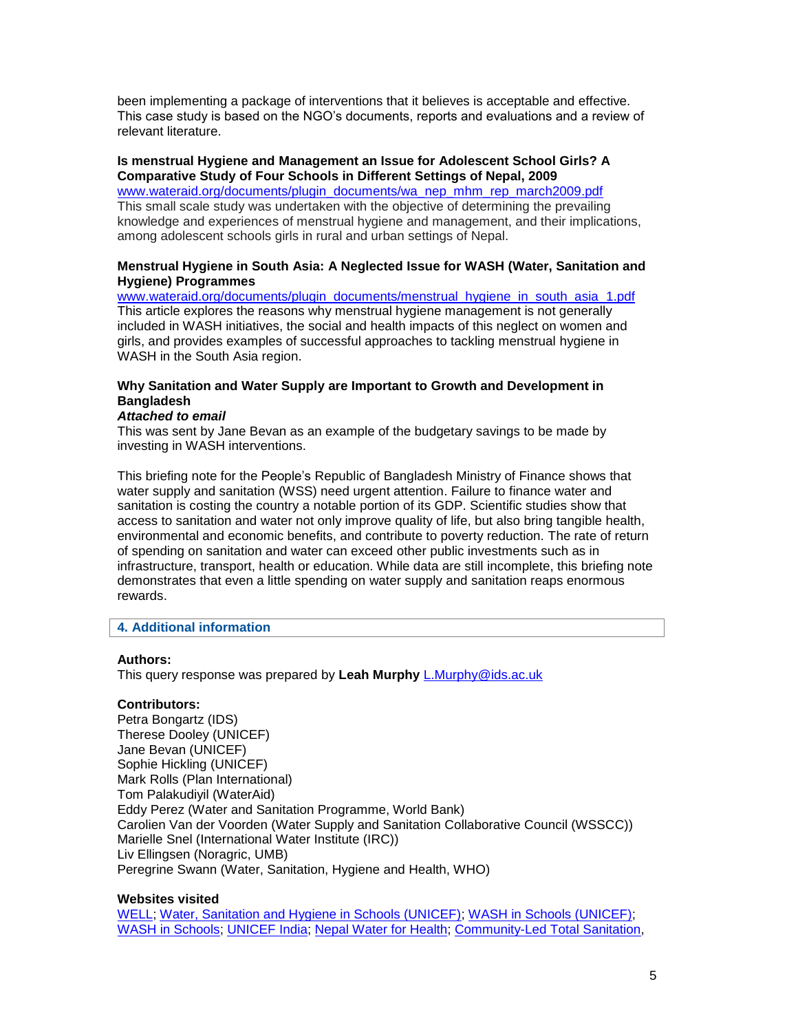been implementing a package of interventions that it believes is acceptable and effective. This case study is based on the NGO"s documents, reports and evaluations and a review of relevant literature.

# **Is menstrual Hygiene and Management an Issue for Adolescent School Girls? A Comparative Study of Four Schools in Different Settings of Nepal, 2009**

[www.wateraid.org/documents/plugin\\_documents/wa\\_nep\\_mhm\\_rep\\_march2009.pdf](http://www.wateraid.org/documents/plugin_documents/wa_nep_mhm_rep_march2009.pdf) This small scale study was undertaken with the objective of determining the prevailing knowledge and experiences of menstrual hygiene and management, and their implications, among adolescent schools girls in rural and urban settings of Nepal.

# **Menstrual Hygiene in South Asia: A Neglected Issue for WASH (Water, Sanitation and Hygiene) Programmes**

[www.wateraid.org/documents/plugin\\_documents/menstrual\\_hygiene\\_in\\_south\\_asia\\_1.pdf](http://www.wateraid.org/documents/plugin_documents/menstrual_hygiene_in_south_asia_1.pdf) This article explores the reasons why menstrual hygiene management is not generally included in WASH initiatives, the social and health impacts of this neglect on women and girls, and provides examples of successful approaches to tackling menstrual hygiene in WASH in the South Asia region.

# **Why Sanitation and Water Supply are Important to Growth and Development in Bangladesh**

# *Attached to email*

This was sent by Jane Bevan as an example of the budgetary savings to be made by investing in WASH interventions.

This briefing note for the People"s Republic of Bangladesh Ministry of Finance shows that water supply and sanitation (WSS) need urgent attention. Failure to finance water and sanitation is costing the country a notable portion of its GDP. Scientific studies show that access to sanitation and water not only improve quality of life, but also bring tangible health, environmental and economic benefits, and contribute to poverty reduction. The rate of return of spending on sanitation and water can exceed other public investments such as in infrastructure, transport, health or education. While data are still incomplete, this briefing note demonstrates that even a little spending on water supply and sanitation reaps enormous rewards.

# **4. Additional information**

# **Authors:**

This query response was prepared by **Leah Murphy** [L.Murphy@ids.ac.uk](mailto:L.Murphy@ids.ac.uk)

# **Contributors:**

Petra Bongartz (IDS) Therese Dooley (UNICEF) Jane Bevan (UNICEF) Sophie Hickling (UNICEF) Mark Rolls (Plan International) Tom Palakudiyil (WaterAid) Eddy Perez (Water and Sanitation Programme, World Bank) Carolien Van der Voorden (Water Supply and Sanitation Collaborative Council (WSSCC)) Marielle Snel (International Water Institute (IRC)) Liv Ellingsen (Noragric, UMB) Peregrine Swann (Water, Sanitation, Hygiene and Health, WHO)

# **Websites visited**

[WELL;](http://www.lboro.ac.uk/well/) [Water, Sanitation and Hygiene in Schools \(UNICEF\);](http://www.unicef.org/wash/index_schools.html) [WASH in Schools \(UNICEF\);](http://www.unicef.org/wash/schools/index.html) [WASH in Schools;](http://www.schools.watsan.net/) [UNICEF India;](http://www.unicef.org/india/) [Nepal Water for Health;](http://www.newah.org.np/) [Community-Led Total Sanitation,](http://www.communityledtotalsanitation.org/)